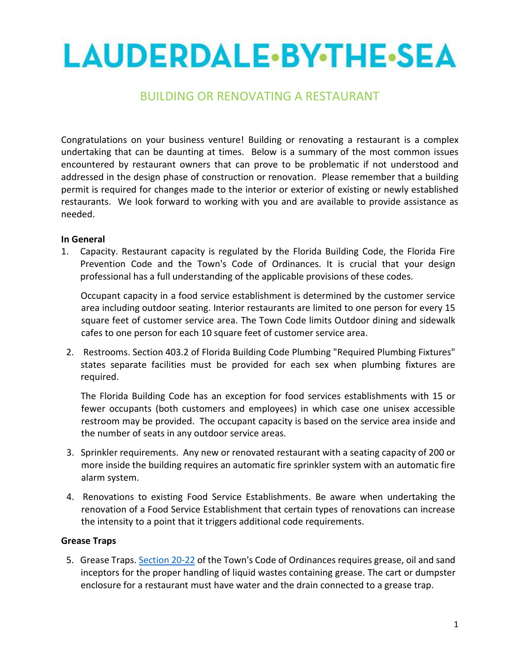# LAUDERDALE-BY-THE-SEA

# BUILDING OR RENOVATING A RESTAURANT

Congratulations on your business venture! Building or renovating a restaurant is a complex undertaking that can be daunting at times. Below is a summary of the most common issues encountered by restaurant owners that can prove to be problematic if not understood and addressed in the design phase of construction or renovation. Please remember that a building permit is required for changes made to the interior or exterior of existing or newly established restaurants. We look forward to working with you and are available to provide assistance as needed.

#### **In General**

1. Capacity. Restaurant capacity is regulated by the Florida Building Code, the Florida Fire Prevention Code and the Town's Code of Ordinances. It is crucial that your design professional has a full understanding of the applicable provisions of these codes.

Occupant capacity in a food service establishment is determined by the customer service area including outdoor seating. Interior restaurants are limited to one person for every 15 square feet of customer service area. The Town Code limits Outdoor dining and sidewalk cafes to one person for each 10 square feet of customer service area.

2. Restrooms. Section 403.2 of Florida Building Code Plumbing "Required Plumbing Fixtures" states separate facilities must be provided for each sex when plumbing fixtures are required.

The Florida Building Code has an exception for food services establishments with 15 or fewer occupants (both customers and employees) in which case one unisex accessible restroom may be provided. The occupant capacity is based on the service area inside and the number of seats in any outdoor service areas.

- 3. Sprinkler requirements. Any new or renovated restaurant with a seating capacity of 200 or more inside the building requires an automatic fire sprinkler system with an automatic fire alarm system.
- 4. Renovations to existing Food Service Establishments. Be aware when undertaking the renovation of a Food Service Establishment that certain types of renovations can increase the intensity to a point that it triggers additional code requirements.

#### **Grease Traps**

5. Grease Traps. [Section 20-22](https://library.municode.com/fl/lauderdale-by-the-sea/codes/code_of_ordinances?nodeId=PTIICOOR_CH20UT_ARTIISASESY_S20-22PRDIPE) of the Town's Code of Ordinances requires grease, oil and sand inceptors for the proper handling of liquid wastes containing grease. The cart or dumpster enclosure for a restaurant must have water and the drain connected to a grease trap.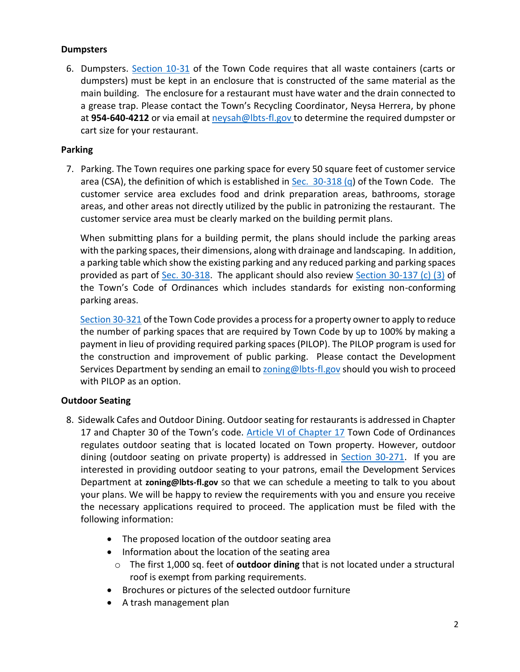## **Dumpsters**

6. Dumpsters. [Section 10-31](https://library.municode.com/fl/lauderdale-by-the-sea/codes/code_of_ordinances?nodeId=PTIICOOR_CH10GARE_ARTIICORE_S10-31DUTYCO) of the Town Code requires that all waste containers (carts or dumpsters) must be kept in an enclosure that is constructed of the same material as the main building. The enclosure for a restaurant must have water and the drain connected to a grease trap. Please contact the Town's Recycling Coordinator, Neysa Herrera, by phone at **954-640-4212** or via email at [neysah@lbts-fl.gov](mailto:neysah@lbts-fl.gov) to determine the required dumpster or cart size for your restaurant.

## **Parking**

7. Parking. The Town requires one parking space for every 50 square feet of customer service area (CSA), the definition of which is established in  $Sec. 30-318$  (q) of the Town Code. The customer service area excludes food and drink preparation areas, bathrooms, storage areas, and other areas not directly utilized by the public in patronizing the restaurant. The customer service area must be clearly marked on the building permit plans.

When submitting plans for a building permit, the plans should include the parking areas with the parking spaces, their dimensions, along with drainage and landscaping. In addition, a parking table which show the existing parking and any reduced parking and parking spaces provided as part of [Sec. 30-318.](https://library.municode.com/fl/lauderdale-by-the-sea/codes/code_of_ordinances?nodeId=PTIICOOR_CH30UNLADERE_ARTVZO_DIV2DI_SDQSURE_S30-318MIPARE) The applicant should also review [Section 30-137 \(c\) \(3\)](https://library.municode.com/fl/lauderdale-by-the-sea/codes/code_of_ordinances?nodeId=PTIICOOR_CH30UNLADERE_ARTIVDEPEPPREREPR_DIV8NOUSST_S30-137NOUSST) of the Town's Code of Ordinances which includes standards for existing non-conforming parking areas.

[Section 30-321](https://library.municode.com/fl/lauderdale-by-the-sea/codes/code_of_ordinances?nodeId=PTIICOOR_CH30UNLADERE_ARTVZO_DIV2DI_SDQSURE_S30-321PA-LPAPI) of the Town Code provides a process for a property owner to apply to reduce the number of parking spaces that are required by Town Code by up to 100% by making a payment in lieu of providing required parking spaces (PILOP). The PILOP program is used for the construction and improvement of public parking. Please contact the Development Services Department by sending an email t[o zoning@lbts-fl.gov](mailto:zoning@lbts-fl.gov) should you wish to proceed with PILOP as an option.

# **Outdoor Seating**

- 8. Sidewalk Cafes and Outdoor Dining. Outdoor seating for restaurants is addressed in Chapter 17 and Chapter 30 of the Town's code. [Article VI of Chapter 17](https://library.municode.com/fl/lauderdale-by-the-sea/codes/code_of_ordinances?nodeId=PTIICOOR_CH17STSIOTPUPL_ARTVISICA) Town Code of Ordinances regulates outdoor seating that is located located on Town property. However, outdoor dining (outdoor seating on private property) is addressed in **Section 30-271**. If you are interested in providing outdoor seating to your patrons, email the Development Services Department at **[zoning@lbts-fl.gov](mailto:zoning@lbts-fl.gov)** so that we can schedule a meeting to talk to you about your plans. We will be happy to review the requirements with you and ensure you receive the necessary applications required to proceed. The application must be filed with the following information:
	- The proposed location of the outdoor seating area
	- Information about the location of the seating area
		- o The first 1,000 sq. feet of **outdoor dining** that is not located under a structural roof is exempt from parking requirements.
	- Brochures or pictures of the selected outdoor furniture
	- A trash management plan